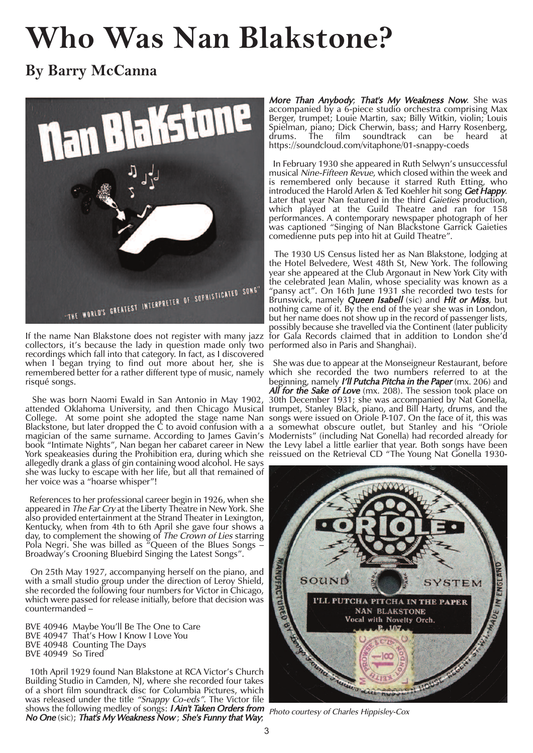## **Who Was Nan Blakstone?**

**By Barry McCanna**



If the name Nan Blakstone does not register with many jazz collectors, it's because the lady in question made only two recordings which fall into that category. In fact, as I discovered when I began trying to find out more about her, she is remembered better for a rather different type of music, namely which she recorded the two numbers referred to at the risqué songs.

She was born Naomi Ewald in San Antonio in May 1902, attended Oklahoma University, and then Chicago Musical trumpet, Stanley Black, piano, and Bill Harty, drums, and the College. At some point she adopted the stage name Nan songs were issued on Oriole P-107. On the face of it, this was Blackstone, but later dropped the C to avoid confusion with a a somewhat obscure outlet, but Stanley and his "Oriole magician of the same surname. According to James Gavin's book "Intimate Nights", Nan began her cabaret career in New York speakeasies during the Prohibition era, during which she reissued on the Retrieval CD "The Young Nat Gonella 1930 allegedly drank a glass of gin containing wood alcohol. He says she was lucky to escape with her life, but all that remained of her voice was a "hoarse whisper"!

References to her professional career begin in 1926, when she appeared in The Far Cry at the Liberty Theatre in New York. She also provided entertainment at the Strand Theater in Lexington, Kentucky, when from 4th to 6th April she gave four shows a day, to complement the showing of The Crown of Lies starring Pola Negri. She was billed as  $\sqrt[n]{2}$  Queen of the Blues Songs  $-\frac{1}{2}$ Broadway's Crooning Bluebird Singing the Latest Songs".

On 25th May 1927, accompanying herself on the piano, and with a small studio group under the direction of Leroy Shield, she recorded the following four numbers for Victor in Chicago, which were passed for release initially, before that decision was countermanded –

BVE 40946 Maybe You'll Be The One to Care BVE 40947 That's How I Know I Love You BVE 40948 Counting The Days BVE 40949 So Tired

10th April 1929 found Nan Blakstone at RCA Victor's Church Building Studio in Camden, NJ, where she recorded four takes of a short film soundtrack disc for Columbia Pictures, which was released under the title *"Snappy Co-eds"*. The Victor file shows the following medley of songs: *I Ain't Taken Orders from* shows the iditioning medicy of songs. *That't Taken Orders Hom* Photo courtesy of Charles Hippisley-Cox<br>No One (sic); That's My Weakness Now; She's Funny that Way;

**More Than Anybody; That's My Weakness Now.** She was accompanied by a 6-piece studio orchestra comprising Max Berger, trumpet; Louie Martin, sax; Billy Witkin, violin; Louis Spielman, piano; Dick Cherwin, bass; and Harry Rosenberg, drums. The film soundtrack can be heard at https://soundcloud.com/vitaphone/01-snappy-coeds

In February 1930 she appeared in Ruth Selwyn's unsuccessful musical Nine-Fifteen Revue, which closed within the week and is remembered only because it starred Ruth Etting, who introduced the Harold Arlen & Ted Koehler hit song Get Happy. Later that year Nan featured in the third Gaieties production, which played at the Guild Theatre and ran for 158 performances. A contemporary newspaper photograph of her was captioned "Singing of Nan Blackstone Garrick Gaieties comedienne puts pep into hit at Guild Theatre".

The 1930 US Census listed her as Nan Blakstone, lodging at the Hotel Belvedere, West 48th St, New York. The following year she appeared at the Club Argonaut in New York City with the celebrated Jean Malin, whose speciality was known as a "pansy act". On 16th June 1931 she recorded two tests for Brunswick, namely *Queen Isabell* (sic) and *Hit or Miss*, but nothing came of it. By the end of the year she was in London, but her name does not show up in the record of passenger lists, possibly because she travelled via the Continent (later publicity for Gala Records claimed that in addition to London she'd performed also in Paris and Shanghai).

She was due to appear at the Monseigneur Restaurant, before beginning, namely *I'll Putcha Pitcha in the Paper* (mx. 206) and All for the Sake of Love (mx. 208). The session took place on 30th December 1931; she was accompanied by Nat Gonella, Modernists" (including Nat Gonella) had recorded already for the Levy label a little earlier that year. Both songs have been

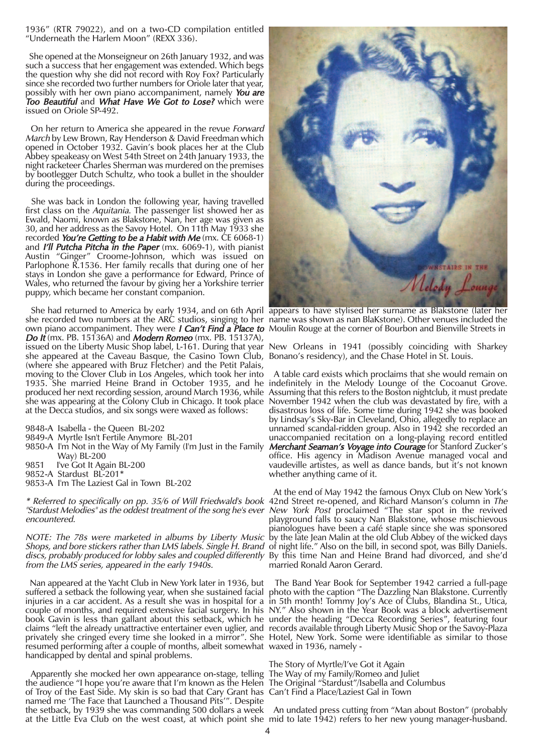1936" (RTR 79022), and on a two-CD compilation entitled "Underneath the Harlem Moon" (REXX 336).

She opened at the Monseigneur on 26th January 1932, and was such a success that her engagement was extended. Which begs the question why she did not record with Roy Fox? Particularly since she recorded two further numbers for Oriole later that year, possibly with her own piano accompaniment, namely You are Too Beautiful and What Have We Got to Lose? which were issued on Oriole SP-492.

On her return to America she appeared in the revue Forward March by Lew Brown, Ray Henderson & David Freedman which opened in October 1932. Gavin's book places her at the Club Abbey speakeasy on West 54th Street on 24th January 1933, the night racketeer Charles Sherman was murdered on the premises by bootlegger Dutch Schultz, who took a bullet in the shoulder during the proceedings.

She was back in London the following year, having travelled first class on the Aquitania. The passenger list showed her as Ewald, Naomi, known as Blakstone, Nan, her age was given as 30, and her address as the Savoy Hotel. On 11th May 1933 she recorded You're Getting to be a Habit with Me (mx. CE 6068-1) and *I'll Putcha Pitcha in the Paper* (mx. 6069-1), with pianist Austin "Ginger" Croome-Johnson, which was issued on Parlophone R.1536. Her family recalls that during one of her stays in London she gave a performance for Edward, Prince of Wales, who returned the favour by giving her a Yorkshire terrier puppy, which became her constant companion.

She had returned to America by early 1934, and on 6th April she recorded two numbers at the ARC studios, singing to her own piano accompaniment. They were I Can't Find a Place to Moulin Rouge at the corner of Bourbon and Bienville Streets in Do It (mx. PB. 15136A) and Modern Romeo (mx. PB. 15137A), issued on the Liberty Music Shop label, L-161. During that year New Orleans in 1941 (possibly coinciding with Sharkey she appeared at the Caveau Basque, the Casino Town Club, (where she appeared with Bruz Fletcher) and the Petit Palais, moving to the Clover Club in Los Angeles, which took her into 1935. She married Heine Brand in October 1935, and he indefinitely in the Melody Lounge of the Cocoanut Grove. produced her next recording session, around March 1936, while Assuming that this refers to the Boston nightclub, it must predate she was appearing at the Colony Club in Chicago. It took place at the Decca studios, and six songs were waxed as follows:

9848-A Isabella - the Queen BL-202

- 9849-A Myrtle Isn't Fertile Anymore BL-201
- 9850-A I'm Not in the Way of My Family (I'm Just in the Family Way) BL-200
- 9851 I've Got It Again BL-200
- 9852-A Stardust BL-201\* 9853-A I'm The Laziest Gal in Town BL-202

\* Referred to specifically on pp. 35/6 of Will Friedwald's book 42nd Street re-opened, and Richard Manson's column in The "Stardust Melodies" as the oddest treatment of the song he's ever New York Post proclaimed "The star spot in the revived encountered.

NOTE: The 78s were marketed in albums by Liberty Music by the late Jean Malin at the old Club Abbey of the wicked days *Shops, and bore stickers rather than LMS labels. Single H. Brand o*f night life." Also on the bill, in second spot, was Billy Daniels. *discs, probably produced for lobby sales and coupled differently* By this time Nan and Heine Brand had divorced, and she'd from the LMS series, appeared in the early 1940s.

Nan appeared at the Yacht Club in New York later in 1936, but suffered a setback the following year, when she sustained facial injuries in a car accident. As a result she was in hospital for a couple of months, and required extensive facial surgery. In his NY." Also shown in the Year Book was a block advertisement book Gavin is less than gallant about this setback, which he under the heading "Decca Recording Series", featuring four claims "left the already unattractive entertainer even uglier, and privately she cringed every time she looked in a mirror". She resumed performing after a couple of months, albeit somewhat waxed in 1936, namely handicapped by dental and spinal problems.

Apparently she mocked her own appearance on-stage, telling The Way of my Family/Romeo and Juliet the audience "I hope you're aware that I'm known as the Helen The Original "Stardust"/Isabella and Columbus of Troy of the East Side. My skin is so bad that Cary Grant has named me 'The Face that Launched a Thousand Pits'". Despite the setback, by 1939 she was commanding 500 dollars a week



appears to have stylised her surname as Blakstone (later her name was shown as nan BlaKstone). Other venues included the

Bonano's residency), and the Chase Hotel in St. Louis.

A table card exists which proclaims that she would remain on November 1942 when the club was devastated by fire, with a disastrous loss of life. Some time during 1942 she was booked by Lindsay's Sky-Bar in Cleveland, Ohio, allegedly to replace an unnamed scandal-ridden group. Also in 1942 she recorded an unaccompanied recitation on a long-playing record entitled Merchant Seaman's Voyage into Courage for Stanford Zucker's office. His agency in Madison Avenue managed vocal and vaudeville artistes, as well as dance bands, but it's not known whether anything came of it.

At the end of May 1942 the famous Onyx Club on New York's playground falls to saucy Nan Blakstone, whose mischievous pianologues have been a café staple since she was sponsored married Ronald Aaron Gerard.

The Band Year Book for September 1942 carried a full-page photo with the caption "The Dazzling Nan Blakstone. Currently in 5th month! Tommy Joy's Ace of Clubs, Blandina St., Utica, records available through Liberty Music Shop or the Savoy-Plaza Hotel, New York. Some were identifiable as similar to those

The Story of Myrtle/I've Got it Again Can't Find a Place/Laziest Gal in Town

at the Little Eva Club on the west coast, at which point she mid to late 1942) refers to her new young manager-husband. An undated press cutting from "Man about Boston" (probably